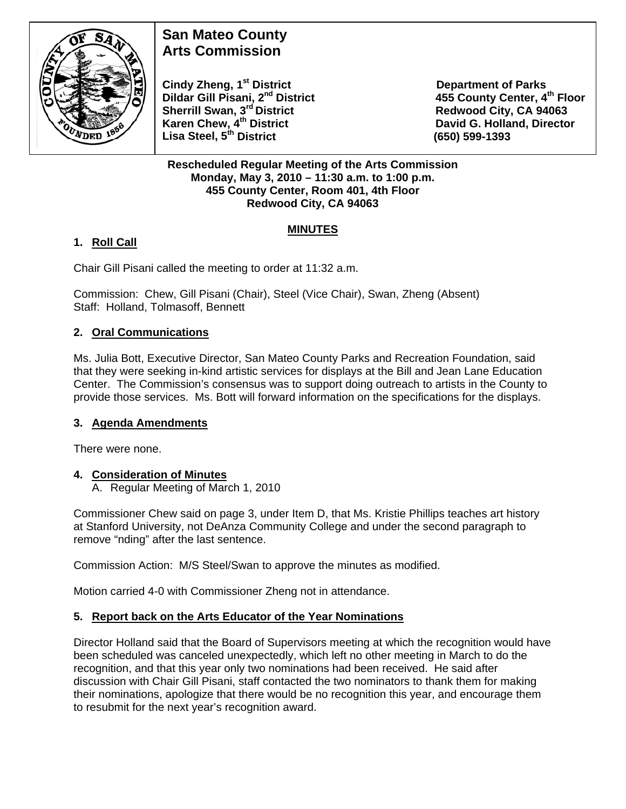

# **San Mateo County Arts Commission**

**Cindy Zheng, 1<sup>st</sup> District Department of Parks Dildar Gill Pisani, 2<sup>nd</sup> District 455 County Center, 4<sup>th</sup> Floor Sherrill Swan, 3<sup>rd</sup> District <b>Redwood City, CA 94063**<br> **Karen Chew, 4<sup>th</sup> District Caren Bass Controllery Control Control David G. Holland, Directo Lisa Steel, 5th District (650) 599-1393** 

**David G. Holland, Director** 

**Rescheduled Regular Meeting of the Arts Commission Monday, May 3, 2010 – 11:30 a.m. to 1:00 p.m. 455 County Center, Room 401, 4th Floor Redwood City, CA 94063** 

## **MINUTES**

# **1. Roll Call**

Chair Gill Pisani called the meeting to order at 11:32 a.m.

Commission: Chew, Gill Pisani (Chair), Steel (Vice Chair), Swan, Zheng (Absent) Staff: Holland, Tolmasoff, Bennett

## **2. Oral Communications**

Ms. Julia Bott, Executive Director, San Mateo County Parks and Recreation Foundation, said that they were seeking in-kind artistic services for displays at the Bill and Jean Lane Education Center. The Commission's consensus was to support doing outreach to artists in the County to provide those services. Ms. Bott will forward information on the specifications for the displays.

## **3. Agenda Amendments**

There were none.

## **4. Consideration of Minutes**

A. Regular Meeting of March 1, 2010

Commissioner Chew said on page 3, under Item D, that Ms. Kristie Phillips teaches art history at Stanford University, not DeAnza Community College and under the second paragraph to remove "nding" after the last sentence.

Commission Action: M/S Steel/Swan to approve the minutes as modified.

Motion carried 4-0 with Commissioner Zheng not in attendance.

## **5. Report back on the Arts Educator of the Year Nominations**

Director Holland said that the Board of Supervisors meeting at which the recognition would have been scheduled was canceled unexpectedly, which left no other meeting in March to do the recognition, and that this year only two nominations had been received. He said after discussion with Chair Gill Pisani, staff contacted the two nominators to thank them for making their nominations, apologize that there would be no recognition this year, and encourage them to resubmit for the next year's recognition award.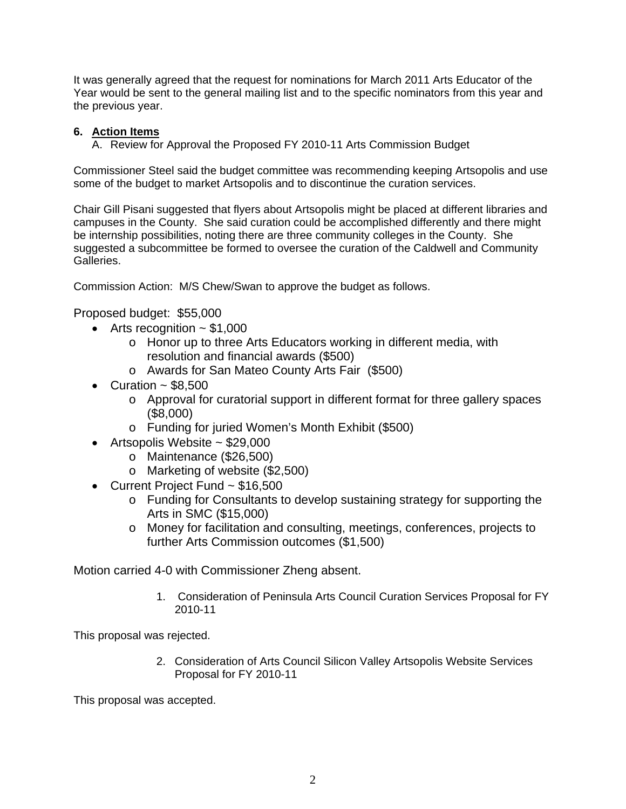It was generally agreed that the request for nominations for March 2011 Arts Educator of the Year would be sent to the general mailing list and to the specific nominators from this year and the previous year.

#### **6. Action Items**

A. Review for Approval the Proposed FY 2010-11 Arts Commission Budget

Commissioner Steel said the budget committee was recommending keeping Artsopolis and use some of the budget to market Artsopolis and to discontinue the curation services.

Chair Gill Pisani suggested that flyers about Artsopolis might be placed at different libraries and campuses in the County. She said curation could be accomplished differently and there might be internship possibilities, noting there are three community colleges in the County. She suggested a subcommittee be formed to oversee the curation of the Caldwell and Community Galleries.

Commission Action: M/S Chew/Swan to approve the budget as follows.

Proposed budget: \$55,000

- Arts recognition  $\sim$  \$1,000
	- o Honor up to three Arts Educators working in different media, with resolution and financial awards (\$500)
	- o Awards for San Mateo County Arts Fair (\$500)
- Curation  $\sim$  \$8,500
	- o Approval for curatorial support in different format for three gallery spaces (\$8,000)
	- o Funding for juried Women's Month Exhibit (\$500)
- Artsopolis Website ~ \$29,000
	- o Maintenance (\$26,500)
	- o Marketing of website (\$2,500)
- Current Project Fund ~ \$16,500
	- o Funding for Consultants to develop sustaining strategy for supporting the Arts in SMC (\$15,000)
	- o Money for facilitation and consulting, meetings, conferences, projects to further Arts Commission outcomes (\$1,500)

Motion carried 4-0 with Commissioner Zheng absent.

1. Consideration of Peninsula Arts Council Curation Services Proposal for FY 2010-11

This proposal was rejected.

2. Consideration of Arts Council Silicon Valley Artsopolis Website Services Proposal for FY 2010-11

This proposal was accepted.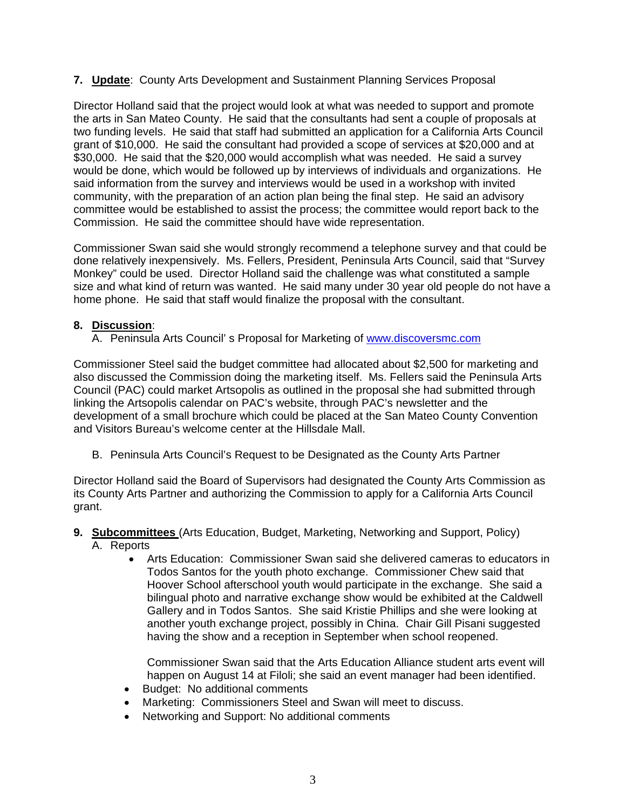#### **7. Update**: County Arts Development and Sustainment Planning Services Proposal

Director Holland said that the project would look at what was needed to support and promote the arts in San Mateo County. He said that the consultants had sent a couple of proposals at two funding levels. He said that staff had submitted an application for a California Arts Council grant of \$10,000. He said the consultant had provided a scope of services at \$20,000 and at \$30,000. He said that the \$20,000 would accomplish what was needed. He said a survey would be done, which would be followed up by interviews of individuals and organizations. He said information from the survey and interviews would be used in a workshop with invited community, with the preparation of an action plan being the final step. He said an advisory committee would be established to assist the process; the committee would report back to the Commission. He said the committee should have wide representation.

Commissioner Swan said she would strongly recommend a telephone survey and that could be done relatively inexpensively. Ms. Fellers, President, Peninsula Arts Council, said that "Survey Monkey" could be used. Director Holland said the challenge was what constituted a sample size and what kind of return was wanted. He said many under 30 year old people do not have a home phone. He said that staff would finalize the proposal with the consultant.

#### **8. Discussion**:

A. Peninsula Arts Council' s Proposal for Marketing of [www.discoversmc.com](http://www.discoversmc.com/)

Commissioner Steel said the budget committee had allocated about \$2,500 for marketing and also discussed the Commission doing the marketing itself. Ms. Fellers said the Peninsula Arts Council (PAC) could market Artsopolis as outlined in the proposal she had submitted through linking the Artsopolis calendar on PAC's website, through PAC's newsletter and the development of a small brochure which could be placed at the San Mateo County Convention and Visitors Bureau's welcome center at the Hillsdale Mall.

B. Peninsula Arts Council's Request to be Designated as the County Arts Partner

Director Holland said the Board of Supervisors had designated the County Arts Commission as its County Arts Partner and authorizing the Commission to apply for a California Arts Council grant.

- **9. Subcommittees** (Arts Education, Budget, Marketing, Networking and Support, Policy)
	- A. Reports
		- Arts Education: Commissioner Swan said she delivered cameras to educators in Todos Santos for the youth photo exchange. Commissioner Chew said that Hoover School afterschool youth would participate in the exchange. She said a bilingual photo and narrative exchange show would be exhibited at the Caldwell Gallery and in Todos Santos. She said Kristie Phillips and she were looking at another youth exchange project, possibly in China. Chair Gill Pisani suggested having the show and a reception in September when school reopened.

Commissioner Swan said that the Arts Education Alliance student arts event will happen on August 14 at Filoli; she said an event manager had been identified.

- Budget: No additional comments
- Marketing: Commissioners Steel and Swan will meet to discuss.
- Networking and Support: No additional comments